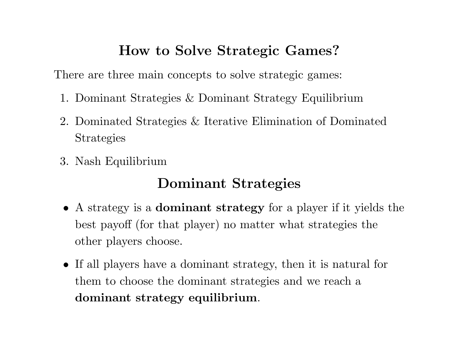## **How to Solve Strategic Games?**

There are three main concepts to solve strategic games:

- 1. Dominant Strategies & Dominant Strategy Equilibrium
- 2. Dominated Strategies & Iterative Elimination of Dominated Strategies
- 3. Nash Equilibrium

# **Dominant Strategies**

- A strategy is <sup>a</sup> **dominant strategy** for <sup>a</sup> <sup>p</sup>layer if it <sup>y</sup>ields the best payoff (for that <sup>p</sup>layer) no matter what strategies the other players choose.
- If all <sup>p</sup>layers have <sup>a</sup> dominant strategy, then it is natural for them to choose the dominant strategies and we reach <sup>a</sup> **dominant strategy equilibrium**.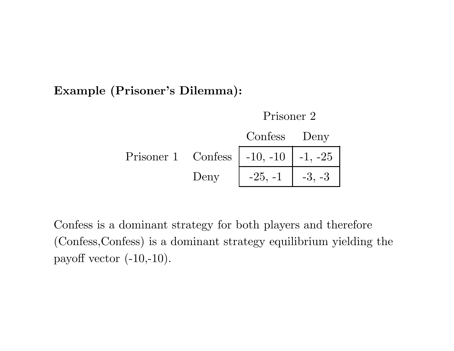**Example (Prisoner's Dilemma):**



Confess is <sup>a</sup> dominant strategy for both <sup>p</sup>layers and therefore (Confess,Confess) is <sup>a</sup> dominant strategy equilibrium <sup>y</sup>ielding the payoff vector  $(-10,-10)$ .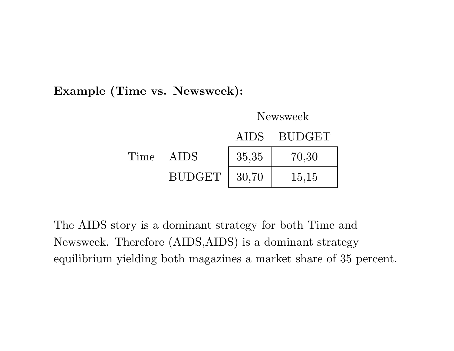**Example (Time vs. Newsweek):**



The AIDS story is <sup>a</sup> dominant strategy for both Time and Newsweek. Therefore (AIDS,AIDS) is <sup>a</sup> dominant strategy equilibrium <sup>y</sup>ielding both magazines <sup>a</sup> market share of 35 percent.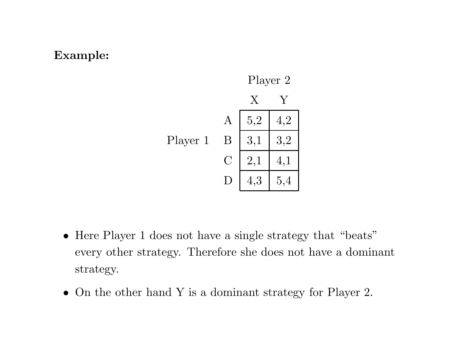#### **Example:**



- Here Player 1 does not have a single strategy that "beats" every other strategy. Therefore she does not have <sup>a</sup> dominant strategy.
- On the other hand Y is a dominant strategy for Player 2.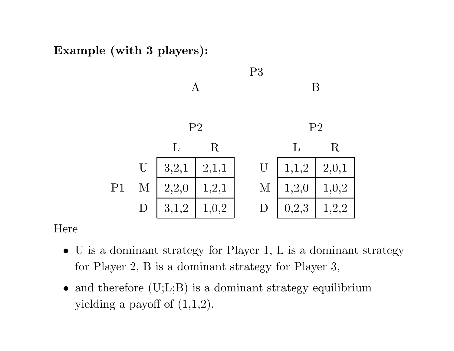**Example (with <sup>3</sup> <sup>p</sup>layers):**



### Here

- U is <sup>a</sup> dominant strategy for Player 1, L is <sup>a</sup> dominant strategy for Player 2, B is <sup>a</sup> dominant strategy for Player 3,
- and therefore (U;L;B) is a dominant strategy equilibrium yielding a payoff of  $(1,1,2)$ .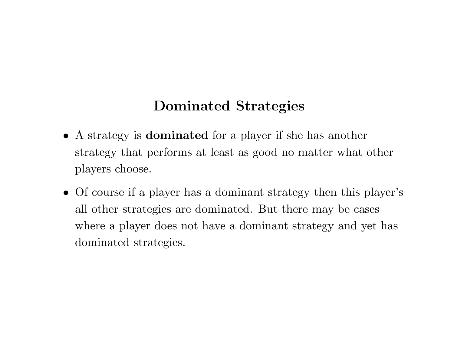## **Dominated Strategies**

- A strategy is **dominated** for <sup>a</sup> <sup>p</sup>layer if she has another strategy that performs at least as good no matter what other players choose.
- Of course if <sup>a</sup> <sup>p</sup>layer has <sup>a</sup> dominant strategy then this <sup>p</sup>layer's all other strategies are dominated. But there may be cases where <sup>a</sup> player does not have <sup>a</sup> dominant strategy and yet has dominated strategies.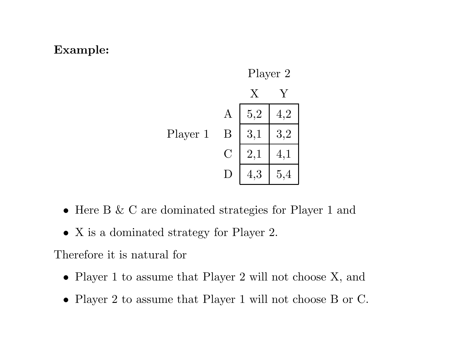### **Example:**



- Here B & C are dominated strategies for Player 1 and
- X is a dominated strategy for Player 2.

Therefore it is natural for

- Player 1 to assume that Player 2 will not choose X, and
- Player 2 to assume that Player 1 will not choose B or C.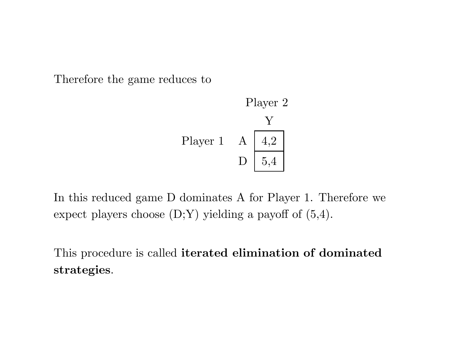Therefore the game reduces to



In this reduced game D dominates A for Player 1. Therefore we expect players choose  $(D;Y)$  yielding a payoff of  $(5,4)$ .

This procedure is called **iterated elimination of dominated strategies**.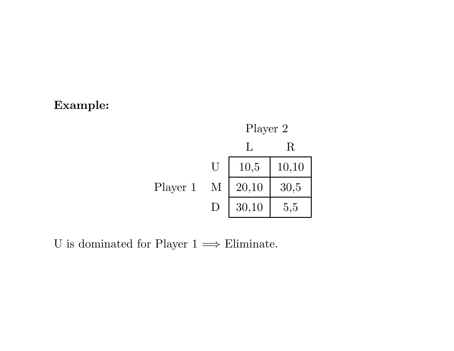### **Example:**



U is dominated for Player  $1 \Longrightarrow$  Eliminate.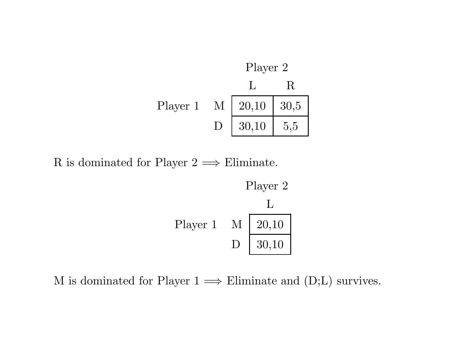

R is dominated for Player  $2 \implies$  Eliminate.



M is dominated for Player  $1 \implies$  Eliminate and  $(D;L)$  survives.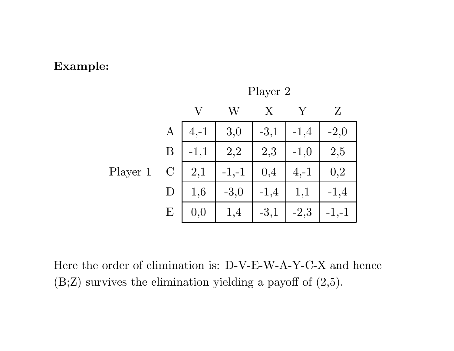#### **Example:**



Player 2

Here the order of elimination is: D-V-E-W-A-Y-C-X and hence  $(B;Z)$  survives the elimination yielding a payoff of  $(2,5)$ .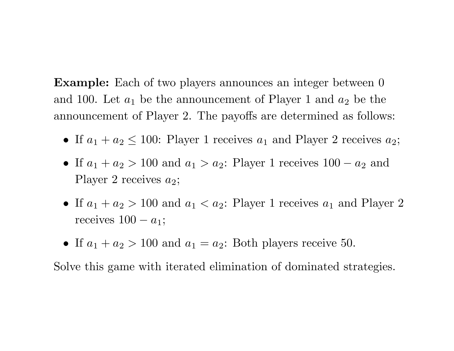**Example:** Each of two players announces an integer between 0 and 100. Let  $a_1$  be the announcement of Player 1 and  $a_2$  be the announcement of Player 2. The payoffs are determined as follows:

- If  $a_1 + a_2 \leq 100$ : Player 1 receives  $a_1$  and Player 2 receives  $a_2$ ;
- If *<sup>a</sup>*<sup>1</sup> + *<sup>a</sup>*<sup>2</sup> *<sup>&</sup>gt;* 100 and *<sup>a</sup>*<sup>1</sup> *<sup>&</sup>gt; <sup>a</sup>*2: Player 1 receives 100 <sup>−</sup> *<sup>a</sup>*<sup>2</sup> and Player 2 receives  $a_2$ ;
- If  $a_1 + a_2 > 100$  and  $a_1 < a_2$ : Player 1 receives  $a_1$  and Player 2 receives  $100 - a_1$ ;
- If  $a_1 + a_2 > 100$  and  $a_1 = a_2$ : Both players receive 50.

Solve this game with iterated elimination of dominated strategies.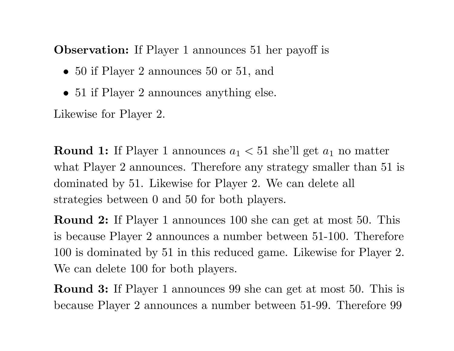**Observation:** If Player 1 announces 51 her payoff is

- 50 if Player 2 announces 50 or 51, and
- 51 if Player 2 announces anything else.

Likewise for Player 2.

**Round 1:** If Player 1 announces  $a_1 < 51$  she'll get  $a_1$  no matter what Player 2 announces. Therefore any strategy smaller than 51 is dominated by 51. Likewise for Player 2. We can delete all strategies between 0 and 50 for both <sup>p</sup>layers.

**Round 2:** If Player 1 announces 100 she can get at most 50. This is because Player 2 announces <sup>a</sup> number between 51-100. Therefore 100 is dominated by 51 in this reduced game. Likewise for Player 2. We can delete 100 for both <sup>p</sup>layers.

**Round 3:** If Player 1 announces 99 she can get at most 50. This is because Player 2 announces <sup>a</sup> number between 51-99. Therefore 99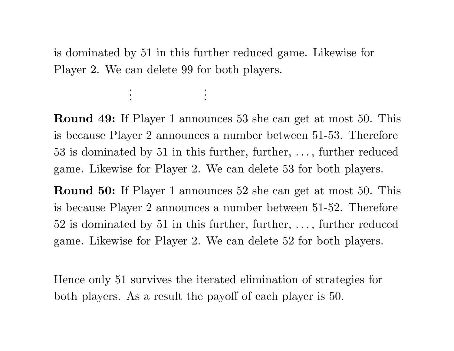is dominated by 51 in this further reduced game. Likewise for Player 2. We can delete 99 for both <sup>p</sup>layers.

> . .

. .

. .

**Round 49:** If Player 1 announces 53 she can get at most 50. This is because Player 2 announces <sup>a</sup> number between 51-53. Therefore 53 is dominated by 51 in this further, further, . . . , further reduced game. Likewise for Player 2. We can delete 53 for both <sup>p</sup>layers.

**Round 50:** If Player 1 announces 52 she can get at most 50. This is because Player 2 announces <sup>a</sup> number between 51-52. Therefore 52 is dominated by 51 in this further, further, . . . , further reduced game. Likewise for Player 2. We can delete 52 for both <sup>p</sup>layers.

Hence only 51 survives the iterated elimination of strategies for both <sup>p</sup>layers. As <sup>a</sup> result the payoff of each <sup>p</sup>layer is 50.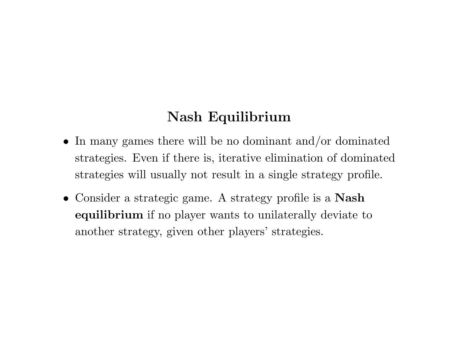# **Nash Equilibrium**

- In many games there will be no dominant and/or dominated strategies. Even if there is, iterative elimination of dominated strategies will usually not result in <sup>a</sup> single strategy profile.
- Consider <sup>a</sup> strategic game. A strategy profile is <sup>a</sup> **Nash equilibrium** if no <sup>p</sup>layer wants to unilaterally deviate to another strategy, given other players' strategies.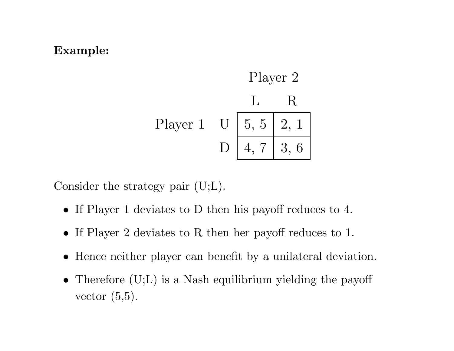### **Example:**



Consider the strategy pair (U;L).

- If Player 1 deviates to D then his payoff reduces to 4.
- If Player 2 deviates to R then her payoff reduces to 1.
- Hence neither <sup>p</sup>layer can benefit by <sup>a</sup> unilateral deviation.
- Therefore (U;L) is a Nash equilibrium yielding the payoff vector (5,5).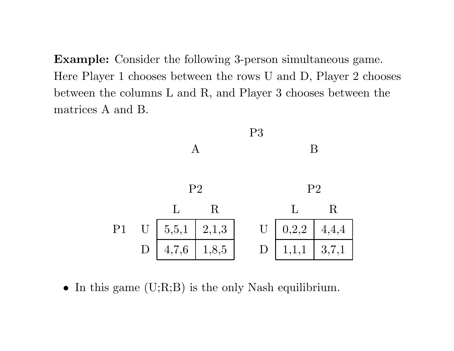**Example:** Consider the following 3-person simultaneous game. Here Player 1 chooses between the rows U and D, Player 2 chooses between the columns L and R, and Player 3 chooses between the matrices A and B.



• In this game  $(U;R;B)$  is the only Nash equilibrium.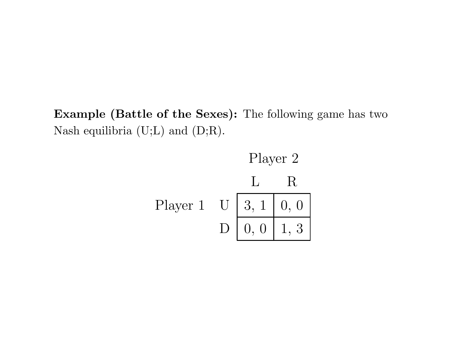**Example (Battle of the Sexes):** The following game has two Nash equilibria (U;L) and (D;R).

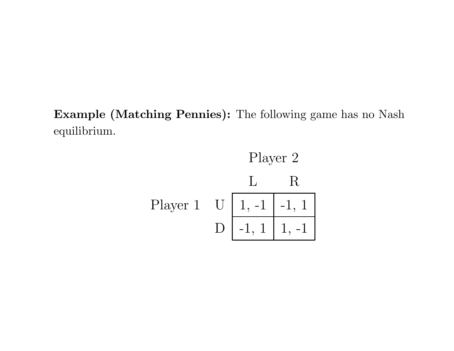**Example (Matching Pennies):** The following game has no Nash equilibrium.

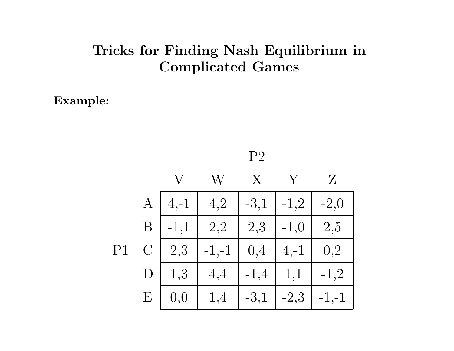## **Tricks for Finding Nash Equilibrium in Complicated Games**

**Example:**

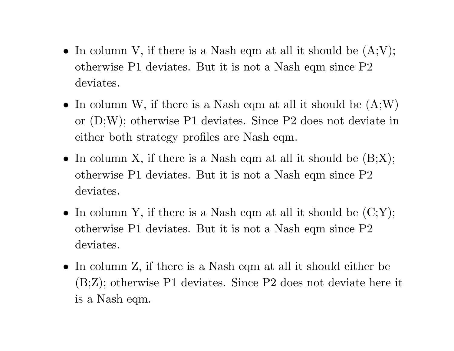- In column V, if there is a Nash eqm at all it should be  $(A;V);$ otherwise P1 deviates. But it is not <sup>a</sup> Nash eqm since P2 deviates.
- In column W, if there is a Nash eqm at all it should be  $(A;W)$ or (D;W); otherwise P1 deviates. Since P2 does not deviate in either both strategy profiles are Nash eqm.
- In column X, if there is a Nash eqm at all it should be  $(B;X);$ otherwise P1 deviates. But it is not <sup>a</sup> Nash eqm since P2 deviates.
- In column Y, if there is a Nash eqm at all it should be  $(C;Y);$ otherwise P1 deviates. But it is not <sup>a</sup> Nash eqm since P2 deviates.
- In column Z, if there is <sup>a</sup> Nash eqm at all it should either be (B;Z); otherwise P1 deviates. Since P2 does not deviate here it is <sup>a</sup> Nash eqm.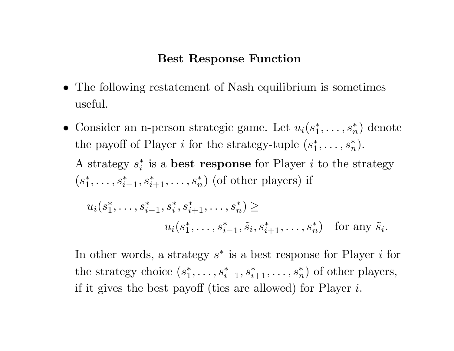### **Best Response Function**

- The following restatement of Nash equilibrium is sometimes useful.
- Consider an n-person strategic game. Let  $u_i(s_1^*,\ldots,s_n^*)$  denote the payoff of Player *i* for the strategy-tuple  $(s_1^*, \ldots, s_n^*)$ . A strategy  $s_i^*$  is a **best response** for Player *i* to the strategy  $(s_1^*, \ldots, s_{i-1}^*, s_{i+1}^*, \ldots, s_n^*)$  (of other players) if  $u_i(s_1^*,\ldots,s_{i-1}^*,s_i^*,s_{i+1}^*,\ldots,s_n^*)$  ≥  $u_i(s_1^*, \ldots, s_{i-1}^*, \tilde{s}_i, s_{i+1}^*, \ldots, s_n^*)$  for any  $\tilde{s}_i$ *.*

In other words, a strategy  $s^*$  is a best response for Player  $i$  for the strategy choice  $(s_1^*, \ldots, s_{i-1}^*, s_{i+1}^*, \ldots, s_n^*)$  of other players, if it <sup>g</sup>ives the best payoff (ties are allowed) for Player *<sup>i</sup>*.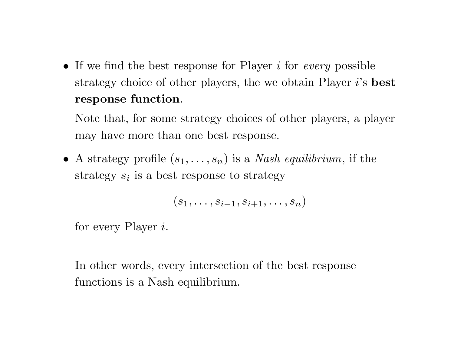• If we find the best response for Player *i* for *every* possible strategy choice of other <sup>p</sup>layers, the we obtain Player *i*'s **best response function**.

Note that, for some strategy choices of other <sup>p</sup>layers, <sup>a</sup> <sup>p</sup>layer may have more than one best response.

• A strategy profile  $(s_1, \ldots, s_n)$  is a *Nash equilibrium*, if the strategy *<sup>s</sup><sup>i</sup>* is <sup>a</sup> best response to strategy

$$
(s_1,\ldots,s_{i-1},s_{i+1},\ldots,s_n)
$$

for every Player *i*.

In other words, every intersection of the best response functions is <sup>a</sup> Nash equilibrium.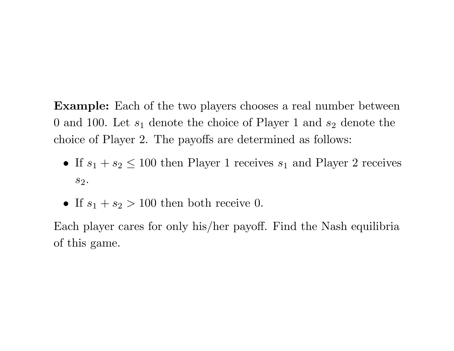**Example:** Each of the two <sup>p</sup>layers chooses <sup>a</sup> real number between 0 and 100. Let *<sup>s</sup>*<sup>1</sup> denote the choice of Player 1 and *<sup>s</sup>*<sup>2</sup> denote the choice of Player 2. The payoffs are determined as follows:

- If  $s_1 + s_2 \leq 100$  then Player 1 receives  $s_1$  and Player 2 receives *s*2.
- If  $s_1 + s_2 > 100$  then both receive 0.

Each <sup>p</sup>layer cares for only his/her payoff. Find the Nash equilibria of this game.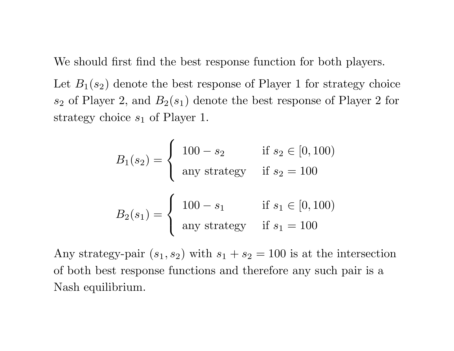We should first find the best response function for both <sup>p</sup>layers.

Let  $B_1(s_2)$  denote the best response of Player 1 for strategy choice  $s_2$  of Player 2, and  $B_2(s_1)$  denote the best response of Player 2 for strategy choice  $s_1$  of Player 1.

$$
B_1(s_2) = \begin{cases} 100 - s_2 & \text{if } s_2 \in [0, 100) \\ \text{any strategy} & \text{if } s_2 = 100 \end{cases}
$$

$$
B_2(s_1) = \begin{cases} 100 - s_1 & \text{if } s_1 \in [0, 100) \\ \text{any strategy} & \text{if } s_1 = 100 \end{cases}
$$

Any strategy-pair  $(s_1, s_2)$  with  $s_1 + s_2 = 100$  is at the intersection of both best response functions and therefore any such pair is <sup>a</sup> Nash equilibrium.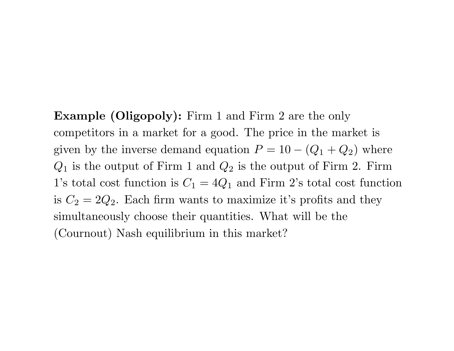**Example (Oligopoly):** Firm <sup>1</sup> and Firm <sup>2</sup> are the only competitors in <sup>a</sup> market for <sup>a</sup> good. The price in the market is given by the inverse demand equation  $P = 10 - (Q_1 + Q_2)$  where  $Q_1$  is the output of Firm 1 and  $Q_2$  is the output of Firm 2. Firm 1's total cost function is  $C_1 = 4Q_1$  and Firm 2's total cost function is  $C_2 = 2Q_2$ . Each firm wants to maximize it's profits and they simultaneously choose their quantities. What will be the (Cournout) Nash equilibrium in this market?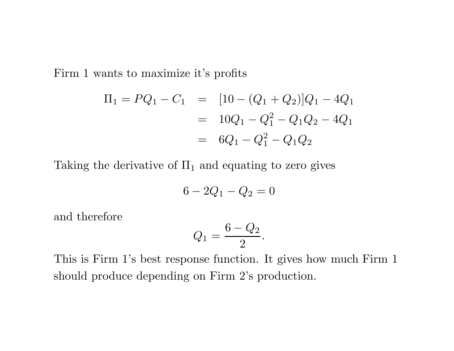Firm 1 wants to maximize it's profits

$$
\Pi_1 = PQ_1 - C_1 = [10 - (Q_1 + Q_2)]Q_1 - 4Q_1
$$
  
=  $10Q_1 - Q_1^2 - Q_1Q_2 - 4Q_1$   
=  $6Q_1 - Q_1^2 - Q_1Q_2$ 

Taking the derivative of  $\Pi_1$  and equating to zero gives

$$
6 - 2Q_1 - Q_2 = 0
$$

and therefore

$$
Q_1 = \frac{6 - Q_2}{2}.
$$

This is Firm 1's best response function. It gives how much Firm 1 should produce depending on Firm 2's production.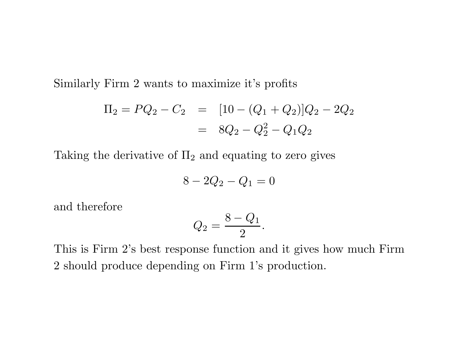Similarly Firm 2 wants to maximize it's profits

$$
\Pi_2 = PQ_2 - C_2 = [10 - (Q_1 + Q_2)]Q_2 - 2Q_2
$$
  
= 
$$
8Q_2 - Q_2^2 - Q_1Q_2
$$

Taking the derivative of  $\Pi_2$  and equating to zero gives

$$
8 - 2Q_2 - Q_1 = 0
$$

and therefore

$$
Q_2=\frac{8-Q_1}{2}.
$$

This is Firm 2's best response function and it gives how much Firm 2 should produce depending on Firm 1's production.